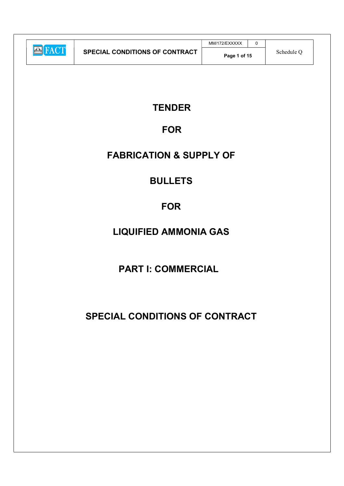|                |                                       | MM/172/EXXXXX |            |
|----------------|---------------------------------------|---------------|------------|
| <b>EXTRACT</b> | <b>SPECIAL CONDITIONS OF CONTRACT</b> | Page 1 of 15  | Schedule O |

### **TENDER**

### FOR

### FABRICATION & SUPPLY OF

### BULLETS

### **FOR**

# LIQUIFIED AMMONIA GAS

# PART I: COMMERCIAL

# SPECIAL CONDITIONS OF CONTRACT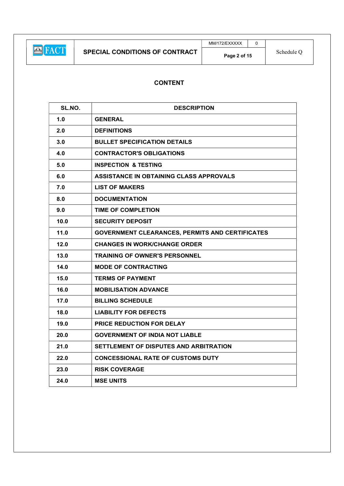$MM/172$ /EXXXXX 0

### CONTENT

| SL.NO. | <b>DESCRIPTION</b>                                     |
|--------|--------------------------------------------------------|
| 1.0    | <b>GENERAL</b>                                         |
| 2.0    | <b>DEFINITIONS</b>                                     |
| 3.0    | <b>BULLET SPECIFICATION DETAILS</b>                    |
| 4.0    | <b>CONTRACTOR'S OBLIGATIONS</b>                        |
| 5.0    | <b>INSPECTION &amp; TESTING</b>                        |
| 6.0    | ASSISTANCE IN OBTAINING CLASS APPROVALS                |
| 7.0    | <b>LIST OF MAKERS</b>                                  |
| 8.0    | <b>DOCUMENTATION</b>                                   |
| 9.0    | <b>TIME OF COMPLETION</b>                              |
| 10.0   | <b>SECURITY DEPOSIT</b>                                |
| 11.0   | <b>GOVERNMENT CLEARANCES, PERMITS AND CERTIFICATES</b> |
| 12.0   | <b>CHANGES IN WORK/CHANGE ORDER</b>                    |
| 13.0   | <b>TRAINING OF OWNER'S PERSONNEL</b>                   |
| 14.0   | <b>MODE OF CONTRACTING</b>                             |
| 15.0   | <b>TERMS OF PAYMENT</b>                                |
| 16.0   | <b>MOBILISATION ADVANCE</b>                            |
| 17.0   | <b>BILLING SCHEDULE</b>                                |
| 18.0   | <b>LIABILITY FOR DEFECTS</b>                           |
| 19.0   | <b>PRICE REDUCTION FOR DELAY</b>                       |
| 20.0   | <b>GOVERNMENT OF INDIA NOT LIABLE</b>                  |
| 21.0   | SETTLEMENT OF DISPUTES AND ARBITRATION                 |
| 22.0   | <b>CONCESSIONAL RATE OF CUSTOMS DUTY</b>               |
| 23.0   | <b>RISK COVERAGE</b>                                   |
| 24.0   | <b>MSE UNITS</b>                                       |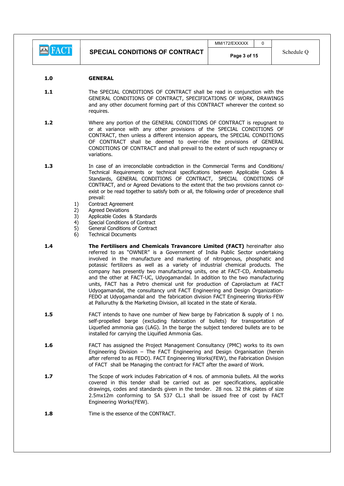**E** FACT

#### 1.0 GENERAL

1.1 The SPECIAL CONDITIONS OF CONTRACT shall be read in conjunction with the GENERAL CONDITIONS OF CONTRACT, SPECIFICATIONS OF WORK, DRAWINGS and any other document forming part of this CONTRACT wherever the context so requires.

1.2 Where any portion of the GENERAL CONDITIONS OF CONTRACT is repugnant to or at variance with any other provisions of the SPECIAL CONDITIONS OF CONTRACT, then unless a different intension appears, the SPECIAL CONDITIONS OF CONTRACT shall be deemed to over-ride the provisions of GENERAL CONDITIONS OF CONTRACT and shall prevail to the extent of such repugnancy or variations.

- 1.3 In case of an irreconcilable contradiction in the Commercial Terms and Conditions/ Technical Requirements or technical specifications between Applicable Codes & Standards, GENERAL CONDITIONS OF CONTRACT, SPECIAL CONDITIONS OF CONTRACT, and or Agreed Deviations to the extent that the two provisions cannot coexist or be read together to satisfy both or all, the following order of precedence shall prevail:
	- 1) Contract Agreement
	- 2) Agreed Deviations
	- 3) Applicable Codes & Standards
	- 4) Special Conditions of Contract
	- 5) General Conditions of Contract
	- 6) Technical Documents
- 1.4 **The Fertilisers and Chemicals Travancore Limited (FACT)** hereinafter also referred to as "OWNER" is a Government of India Public Sector undertaking involved in the manufacture and marketing of nitrogenous, phosphatic and potassic fertilizers as well as a variety of industrial chemical products. The company has presently two manufacturing units, one at FACT-CD, Ambalamedu and the other at FACT-UC, Udyogamandal. In addition to the two manufacturing units, FACT has a Petro chemical unit for production of Caprolactum at FACT Udyogamandal, the consultancy unit FACT Engineering and Design Organization-FEDO at Udyogamandal and the fabrication division FACT Engineering Works-FEW at Palluruthy & the Marketing Division, all located in the state of Kerala.
- 1.5 FACT intends to have one number of New barge by Fabrication & supply of 1 no. self-propelled barge (excluding fabrication of bullets) for transportation of Liquefied ammonia gas (LAG). In the barge the subject tendered bullets are to be installed for carrying the Liquified Ammonia Gas.
- 1.6 FACT has assigned the Project Management Consultancy (PMC) works to its own Engineering Division – The FACT Engineering and Design Organisation (herein after referred to as FEDO). FACT Engineering Works(FEW), the Fabrication Division of FACT shall be Managing the contract for FACT after the award of Work.
- 1.7 The Scope of work includes Fabrication of 4 nos. of ammonia bullets. All the works covered in this tender shall be carried out as per specifications, applicable drawings, codes and standards given in the tender. 28 nos. 32 thk plates of size 2.5mx12m conforming to SA 537 CL.1 shall be issued free of cost by FACT Engineering Works(FEW).
- 1.8 Time is the essence of the CONTRACT.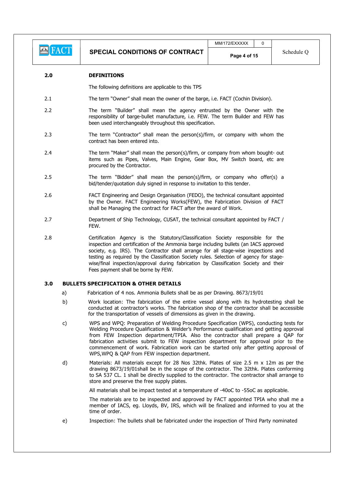#### 2.0 DEFINITIONS

The following definitions are applicable to this TPS

- 2.1 The term "Owner" shall mean the owner of the barge, i.e. FACT (Cochin Division).
- 2.2 The term "Builder" shall mean the agency entrusted by the Owner with the responsibility of barge-bullet manufacture, i.e. FEW. The term Builder and FEW has been used interchangeably throughout this specification.
- 2.3 The term "Contractor" shall mean the person(s)/firm, or company with whom the contract has been entered into.
- 2.4 The term "Maker" shall mean the person(s)/firm, or company from whom bought- out items such as Pipes, Valves, Main Engine, Gear Box, MV Switch board, etc are procured by the Contractor.
- 2.5 The term "Bidder" shall mean the person(s)/firm, or company who offer(s) a bid/tender/quotation duly signed in response to invitation to this tender.
- 2.6 FACT Engineering and Design Organisation (FEDO), the technical consultant appointed by the Owner. FACT Engineering Works(FEW), the Fabrication Division of FACT shall be Managing the contract for FACT after the award of Work.
- 2.7 Department of Ship Technology, CUSAT, the technical consultant appointed by FACT / FEW.
- 2.8 Certification Agency is the Statutory/Classification Society responsible for the inspection and certification of the Ammonia barge including bullets (an IACS approved society, e.g. IRS). The Contractor shall arrange for all stage-wise inspections and testing as required by the Classification Society rules. Selection of agency for stagewise/final inspection/approval during fabrication by Classification Society and their Fees payment shall be borne by FEW.

#### 3.0 BULLETS SPECIFICATION & OTHER DETAILS

- a) Fabrication of 4 nos. Ammonia Bullets shall be as per Drawing. 8673/19/01
- b) Work location: The fabrication of the entire vessel along with its hydrotesting shall be conducted at contractor's works. The fabrication shop of the contractor shall be accessible for the transportation of vessels of dimensions as given in the drawing.
- c) WPS and WPQ: Preparation of Welding Procedure Specification (WPS), conducting tests for Welding Procedure Qualification & Welder's Performance qualification and getting approval from FEW Inspection department/TPIA. Also the contractor shall prepare a QAP for fabrication activities submit to FEW inspection department for approval prior to the commencement of work. Fabrication work can be started only after getting approval of WPS,WPQ & QAP from FEW inspection department.
- d) Materials: All materials except for 28 Nos 32thk. Plates of size 2.5 m x 12m as per the drawing 8673/19/01shall be in the scope of the contractor. The 32thk. Plates conforming to SA 537 CL. 1 shall be directly supplied to the contractor. The contractor shall arrange to store and preserve the free supply plates.

All materials shall be impact tested at a temperature of -40oC to -55oC as applicable.

 The materials are to be inspected and approved by FACT appointed TPIA who shall me a member of IACS, eg. Lloyds, BV, IRS, which will be finalized and informed to you at the time of order.

e) Inspection: The bullets shall be fabricated under the inspection of Third Party nominated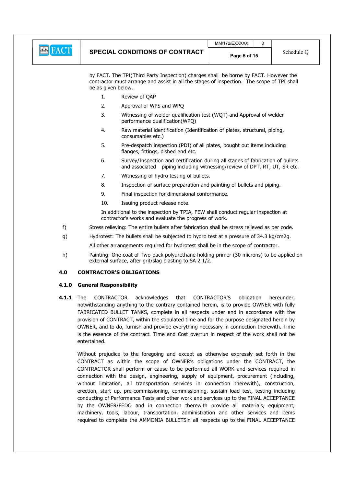

 by FACT. The TPI(Third Party Inspection) charges shall be borne by FACT. However the contractor must arrange and assist in all the stages of inspection. The scope of TPI shall be as given below.

- 1. Review of QAP
- 2. Approval of WPS and WPQ
- 3. Witnessing of welder qualification test (WQT) and Approval of welder performance qualification(WPQ)
- 4. Raw material identification (Identification of plates, structural, piping, consumables etc.)
- 5. Pre-despatch inspection (PDI) of all plates, bought out items including flanges, fittings, dished end etc.
- 6. Survey/Inspection and certification during all stages of fabrication of bullets and associated piping including witnessing/review of DPT, RT, UT, SR etc.
- 7. Witnessing of hydro testing of bullets.
- 8. Inspection of surface preparation and painting of bullets and piping.
- 9. Final inspection for dimensional conformance.
- 10. Issuing product release note.

 In additional to the inspection by TPIA, FEW shall conduct regular inspection at contractor's works and evaluate the progress of work.

- f) Stress relieving: The entire bullets after fabrication shall be stress relieved as per code.
- g) Hydrotest: The bullets shall be subjected to hydro test at a pressure of 34.3 kg/cm2g.

All other arrangements required for hydrotest shall be in the scope of contractor.

h) Painting: One coat of Two-pack polyurethane holding primer (30 microns) to be applied on external surface, after grit/slag blasting to SA 2 1/2.

#### 4.0 CONTRACTOR'S OBLIGATIONS

#### 4.1.0 General Responsibility

4.1.1 The CONTRACTOR acknowledges that CONTRACTOR'S obligation hereunder, notwithstanding anything to the contrary contained herein, is to provide OWNER with fully FABRICATED BULLET TANKS, complete in all respects under and in accordance with the provision of CONTRACT, within the stipulated time and for the purpose designated herein by OWNER, and to do, furnish and provide everything necessary in connection therewith. Time is the essence of the contract. Time and Cost overrun in respect of the work shall not be entertained.

Without prejudice to the foregoing and except as otherwise expressly set forth in the CONTRACT as within the scope of OWNER's obligations under the CONTRACT, the CONTRACTOR shall perform or cause to be performed all WORK and services required in connection with the design, engineering, supply of equipment, procurement (including, without limitation, all transportation services in connection therewith), construction, erection, start up, pre-commissioning, commissioning, sustain load test, testing including conducting of Performance Tests and other work and services up to the FINAL ACCEPTANCE by the OWNER/FEDO and in connection therewith provide all materials, equipment, machinery, tools, labour, transportation, administration and other services and items required to complete the AMMONIA BULLETSin all respects up to the FINAL ACCEPTANCE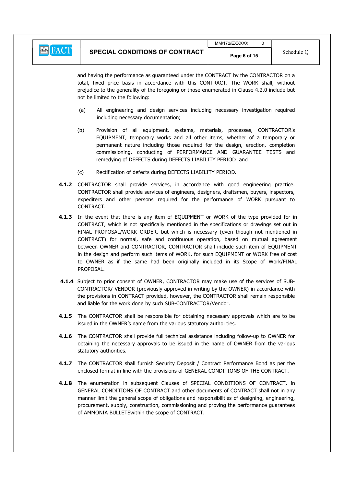|--|

and having the performance as guaranteed under the CONTRACT by the CONTRACTOR on a total, fixed price basis in accordance with this CONTRACT. The WORK shall, without prejudice to the generality of the foregoing or those enumerated in Clause 4.2.0 include but not be limited to the following:

- (a) All engineering and design services including necessary investigation required including necessary documentation;
- (b) Provision of all equipment, systems, materials, processes, CONTRACTOR's EQUIPMENT, temporary works and all other items, whether of a temporary or permanent nature including those required for the design, erection, completion commissioning, conducting of PERFORMANCE AND GUARANTEE TESTS and remedying of DEFECTS during DEFECTS LIABILITY PERIOD and
- (c) Rectification of defects during DEFECTS LIABILITY PERIOD.
- 4.1.2 CONTRACTOR shall provide services, in accordance with good engineering practice. CONTRACTOR shall provide services of engineers, designers, draftsmen, buyers, inspectors, expediters and other persons required for the performance of WORK pursuant to CONTRACT.
- 4.1.3 In the event that there is any item of EQUIPMENT or WORK of the type provided for in CONTRACT, which is not specifically mentioned in the specifications or drawings set out in FINAL PROPOSAL/WORK ORDER, but which is necessary (even though not mentioned in CONTRACT) for normal, safe and continuous operation, based on mutual agreement between OWNER and CONTRACTOR, CONTRACTOR shall include such item of EQUIPMENT in the design and perform such items of WORK, for such EQUIPMENT or WORK free of cost to OWNER as if the same had been originally included in its Scope of Work/FINAL PROPOSAL.
- 4.1.4 Subject to prior consent of OWNER, CONTRACTOR may make use of the services of SUB-CONTRACTOR/ VENDOR (previously approved in writing by the OWNER) in accordance with the provisions in CONTRACT provided, however, the CONTRACTOR shall remain responsible and liable for the work done by such SUB-CONTRACTOR/Vendor.
- 4.1.5 The CONTRACTOR shall be responsible for obtaining necessary approvals which are to be issued in the OWNER's name from the various statutory authorities.
- 4.1.6 The CONTRACTOR shall provide full technical assistance including follow-up to OWNER for obtaining the necessary approvals to be issued in the name of OWNER from the various statutory authorities.
- 4.1.7 The CONTRACTOR shall furnish Security Deposit / Contract Performance Bond as per the enclosed format in line with the provisions of GENERAL CONDITIONS OF THE CONTRACT.
- 4.1.8 The enumeration in subsequent Clauses of SPECIAL CONDITIONS OF CONTRACT, in GENERAL CONDITIONS OF CONTRACT and other documents of CONTRACT shall not in any manner limit the general scope of obligations and responsibilities of designing, engineering, procurement, supply, construction, commissioning and proving the performance guarantees of AMMONIA BULLETSwithin the scope of CONTRACT.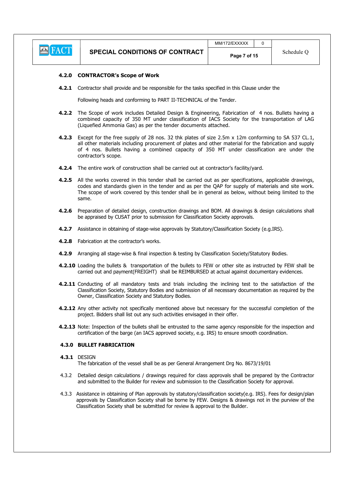

#### 4.2.0 CONTRACTOR's Scope of Work

**4.2.1** Contractor shall provide and be responsible for the tasks specified in this Clause under the

Following heads and conforming to PART II-TECHNICAL of the Tender.

- 4.2.2 The Scope of work includes Detailed Design & Engineering, Fabrication of 4 nos. Bullets having a combined capacity of 350 MT under classification of IACS Society for the transportation of LAG (Liquefied Ammonia Gas) as per the tender documents attached.
- 4.2.3 Except for the free supply of 28 nos. 32 thk plates of size 2.5m x 12m conforming to SA 537 CL.1, all other materials including procurement of plates and other material for the fabrication and supply of 4 nos. Bullets having a combined capacity of 350 MT under classification are under the contractor's scope.
- 4.2.4 The entire work of construction shall be carried out at contractor's facility/vard.
- 4.2.5 All the works covered in this tender shall be carried out as per specifications, applicable drawings, codes and standards given in the tender and as per the QAP for supply of materials and site work. The scope of work covered by this tender shall be in general as below, without being limited to the same.
- 4.2.6 Preparation of detailed design, construction drawings and BOM. All drawings & design calculations shall be appraised by CUSAT prior to submission for Classification Society approvals.
- **4.2.7** Assistance in obtaining of stage-wise approvals by Statutory/Classification Society (e.g.IRS).
- 4.2.8 Fabrication at the contractor's works.
- 4.2.9 Arranging all stage-wise & final inspection & testing by Classification Society/Statutory Bodies.
- 4.2.10 Loading the bullets & transportation of the bullets to FEW or other site as instructed by FEW shall be carried out and payment(FREIGHT) shall be REIMBURSED at actual against documentary evidences.
- 4.2.11 Conducting of all mandatory tests and trials including the inclining test to the satisfaction of the Classification Society, Statutory Bodies and submission of all necessary documentation as required by the Owner, Classification Society and Statutory Bodies.
- 4.2.12 Any other activity not specifically mentioned above but necessary for the successful completion of the project. Bidders shall list out any such activities envisaged in their offer.
- 4.2.13 Note: Inspection of the bullets shall be entrusted to the same agency responsible for the inspection and certification of the barge (an IACS approved society, e.g. IRS) to ensure smooth coordination.

#### 4.3.0 BULLET FABRICATION

#### 4.3.1 DESIGN

- The fabrication of the vessel shall be as per General Arrangement Drg No. 8673/19/01
- 4.3.2 Detailed design calculations / drawings required for class approvals shall be prepared by the Contractor and submitted to the Builder for review and submission to the Classification Society for approval.
- 4.3.3 Assistance in obtaining of Plan approvals by statutory/classification society(e.g. IRS). Fees for design/plan approvals by Classification Society shall be borne by FEW. Designs & drawings not in the purview of the Classification Society shall be submitted for review & approval to the Builder.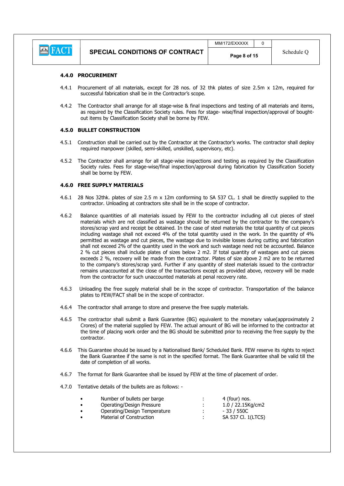

#### 4.4.0 PROCUREMENT

- 4.4.1 Procurement of all materials, except for 28 nos. of 32 thk plates of size 2.5m x 12m, required for successful fabrication shall be in the Contractor's scope.
- 4.4.2 The Contractor shall arrange for all stage-wise & final inspections and testing of all materials and items, as required by the Classification Society rules. Fees for stage- wise/final inspection/approval of boughtout items by Classification Society shall be borne by FEW.

#### 4.5.0 BULLET CONSTRUCTION

- 4.5.1 Construction shall be carried out by the Contractor at the Contractor's works. The contractor shall deploy required manpower (skilled, semi-skilled, unskilled, supervisory, etc).
- 4.5.2 The Contractor shall arrange for all stage-wise inspections and testing as required by the Classification Society rules. Fees for stage-wise/final inspection/approval during fabrication by Classification Society shall be borne by FEW.

#### 4.6.0 FREE SUPPLY MATERIALS

- 4.6.1 28 Nos 32thk. plates of size 2.5 m x 12m conforming to SA 537 CL. 1 shall be directly supplied to the contractor. Unloading at contractors site shall be in the scope of contractor.
- 4.6.2 Balance quantities of all materials issued by FEW to the contractor including all cut pieces of steel materials which are not classified as wastage should be returned by the contractor to the company's stores/scrap yard and receipt be obtained. In the case of steel materials the total quantity of cut pieces including wastage shall not exceed 4% of the total quantity used in the work. In the quantity of 4% permitted as wastage and cut pieces, the wastage due to invisible losses during cutting and fabrication shall not exceed 2% of the quantity used in the work and such wastage need not be accounted. Balance 2 % cut pieces shall include plates of sizes below 2 m2. If total quantity of wastages and cut pieces exceeds 2 %, recovery will be made from the contractor. Plates of size above 2 m2 are to be returned to the company's stores/scrap yard. Further if any quantity of steel materials issued to the contractor remains unaccounted at the close of the transactions except as provided above, recovery will be made from the contractor for such unaccounted materials at penal recovery rate.
- 4.6.3 Unloading the free supply material shall be in the scope of contractor. Transportation of the balance plates to FEW/FACT shall be in the scope of contractor.
- 4.6.4 The contractor shall arrange to store and preserve the free supply materials.
- 4.6.5 The contractor shall submit a Bank Guarantee (BG) equivalent to the monetary value(approximately 2 Crores) of the material supplied by FEW. The actual amount of BG will be informed to the contractor at the time of placing work order and the BG should be submitted prior to receiving the free supply by the contractor.
- 4.6.6 This Guarantee should be issued by a Nationalised Bank/ Scheduled Bank. FEW reserve its rights to reject the Bank Guarantee if the same is not in the specified format. The Bank Guarantee shall be valid till the date of completion of all works.
- 4.6.7 The format for Bank Guarantee shall be issued by FEW at the time of placement of order.
- 4.7.0 Tentative details of the bullets are as follows: -

| ٠ | Number of bullets per barge  | 4 (four) nos.        |
|---|------------------------------|----------------------|
| ٠ | Operating/Design Pressure    | $1.0 / 22.15$ Kg/cm2 |
| ٠ | Operating/Design Temperature | - 33 / 550C          |
| ٠ | Material of Construction     | SA 537 Cl. 1(LTCS)   |
|   |                              |                      |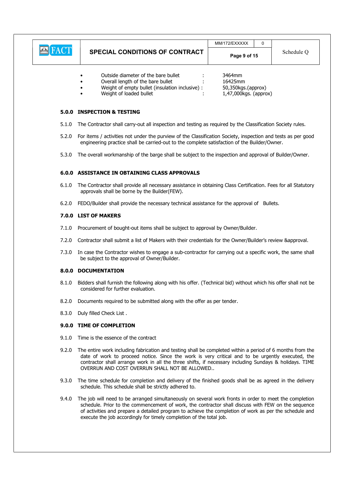|       |                                                                                                                                                                                                                                                                                                                                                                          | MM/172/EXXXXX                                                    | 0 |            |
|-------|--------------------------------------------------------------------------------------------------------------------------------------------------------------------------------------------------------------------------------------------------------------------------------------------------------------------------------------------------------------------------|------------------------------------------------------------------|---|------------|
|       | <b>SPECIAL CONDITIONS OF CONTRACT</b>                                                                                                                                                                                                                                                                                                                                    | Page 9 of 15                                                     |   | Schedule Q |
|       | Outside diameter of the bare bullet<br>Overall length of the bare bullet<br>Weight of empty bullet (insulation inclusive) :<br>Weight of loaded bullet                                                                                                                                                                                                                   | 3464mm<br>16425mm<br>50,350kgs.(approx)<br>1,47,000kgs. (approx) |   |            |
|       | 5.0.0 INSPECTION & TESTING                                                                                                                                                                                                                                                                                                                                               |                                                                  |   |            |
| 5.1.0 | The Contractor shall carry-out all inspection and testing as required by the Classification Society rules.                                                                                                                                                                                                                                                               |                                                                  |   |            |
| 5.2.0 | For items / activities not under the purview of the Classification Society, inspection and tests as per good<br>engineering practice shall be carried-out to the complete satisfaction of the Builder/Owner.                                                                                                                                                             |                                                                  |   |            |
| 5.3.0 | The overall workmanship of the barge shall be subject to the inspection and approval of Builder/Owner.                                                                                                                                                                                                                                                                   |                                                                  |   |            |
|       | <b>6.0.0 ASSISTANCE IN OBTAINING CLASS APPROVALS</b>                                                                                                                                                                                                                                                                                                                     |                                                                  |   |            |
| 6.1.0 | The Contractor shall provide all necessary assistance in obtaining Class Certification. Fees for all Statutory<br>approvals shall be borne by the Builder(FEW).                                                                                                                                                                                                          |                                                                  |   |            |
| 6.2.0 | FEDO/Builder shall provide the necessary technical assistance for the approval of Bullets.                                                                                                                                                                                                                                                                               |                                                                  |   |            |
|       | 7.0.0 LIST OF MAKERS                                                                                                                                                                                                                                                                                                                                                     |                                                                  |   |            |
| 7.1.0 | Procurement of bought-out items shall be subject to approval by Owner/Builder.                                                                                                                                                                                                                                                                                           |                                                                  |   |            |
| 7.2.0 | Contractor shall submit a list of Makers with their credentials for the Owner/Builder's review &approval.                                                                                                                                                                                                                                                                |                                                                  |   |            |
| 7.3.0 | In case the Contractor wishes to engage a sub-contractor for carrying out a specific work, the same shall<br>be subject to the approval of Owner/Builder.                                                                                                                                                                                                                |                                                                  |   |            |
|       | 8.0.0 DOCUMENTATION                                                                                                                                                                                                                                                                                                                                                      |                                                                  |   |            |
| 8.1.0 | Bidders shall furnish the following along with his offer. (Technical bid) without which his offer shall not be<br>considered for further evaluation.                                                                                                                                                                                                                     |                                                                  |   |            |
| 8.2.0 | Documents required to be submitted along with the offer as per tender.                                                                                                                                                                                                                                                                                                   |                                                                  |   |            |
| 8.3.0 | Duly filled Check List.                                                                                                                                                                                                                                                                                                                                                  |                                                                  |   |            |
|       | 9.0.0 TIME OF COMPLETION                                                                                                                                                                                                                                                                                                                                                 |                                                                  |   |            |
| 9.1.0 | Time is the essence of the contract                                                                                                                                                                                                                                                                                                                                      |                                                                  |   |            |
| 9.2.0 | The entire work including fabrication and testing shall be completed within a period of 6 months from the<br>date of work to proceed notice. Since the work is very critical and to be urgently executed, the<br>contractor shall arrange work in all the three shifts, if necessary including Sundays & holidays. TIME<br>OVERRUN AND COST OVERRUN SHALL NOT BE ALLOWED |                                                                  |   |            |
| 9.3.0 | The time schedule for completion and delivery of the finished goods shall be as agreed in the delivery<br>schedule. This schedule shall be strictly adhered to.                                                                                                                                                                                                          |                                                                  |   |            |
| 9.4.0 | The job will need to be arranged simultaneously on several work fronts in order to meet the completion<br>schedule. Prior to the commencement of work, the contractor shall discuss with FEW on the sequence                                                                                                                                                             |                                                                  |   |            |

 $\sqrt{2}$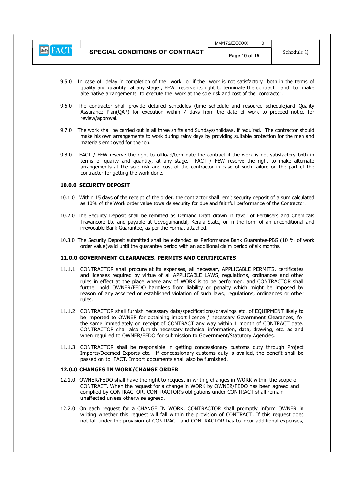

 $MM/172/FXXXXX$   $\qquad$  0

- 9.5.0 In case of delay in completion of the work or if the work is not satisfactory both in the terms of quality and quantity at any stage , FEW reserve its right to terminate the contract and to make alternative arrangements to execute the work at the sole risk and cost of the contractor.
- 9.6.0 The contractor shall provide detailed schedules (time schedule and resource schedule)and Quality Assurance Plan(QAP) for execution within 7 days from the date of work to proceed notice for review/approval.
- 9.7.0 The work shall be carried out in all three shifts and Sundays/holidays, if required. The contractor should make his own arrangements to work during rainy days by providing suitable protection for the men and materials employed for the job.
- 9.8.0 FACT / FEW reserve the right to offload/terminate the contract if the work is not satisfactory both in terms of quality and quantity, at any stage. FACT / FEW reserve the right to make alternate arrangements at the sole risk and cost of the contractor in case of such failure on the part of the contractor for getting the work done.

#### 10.0.0 SECURITY DEPOSIT

- 10.1.0 Within 15 days of the receipt of the order, the contractor shall remit security deposit of a sum calculated as 10% of the Work order value towards security for due and faithful performance of the Contractor.
- 10.2.0 The Security Deposit shall be remitted as Demand Draft drawn in favor of Fertilisers and Chemicals Travancore Ltd and payable at Udyogamandal, Kerala State, or in the form of an unconditional and irrevocable Bank Guarantee, as per the Format attached.
- 10.3.0 The Security Deposit submitted shall be extended as Performance Bank Guarantee-PBG (10 % of work order value)valid until the guarantee period with an additional claim period of six months.

#### 11.0.0 GOVERNMENT CLEARANCES, PERMITS AND CERTIFICATES

- 11.1.1 CONTRACTOR shall procure at its expenses, all necessary APPLICABLE PERMITS, certificates and licenses required by virtue of all APPLICABLE LAWS, regulations, ordinances and other rules in effect at the place where any of WORK is to be performed, and CONTRACTOR shall further hold OWNER/FEDO harmless from liability or penalty which might be imposed by reason of any asserted or established violation of such laws, regulations, ordinances or other rules.
- 11.1.2 CONTRACTOR shall furnish necessary data/specifications/drawings etc. of EQUIPMENT likely to be imported to OWNER for obtaining import licence / necessary Government Clearances, for the same immediately on receipt of CONTRACT any way within 1 month of CONTRACT date. CONTRACTOR shall also furnish necessary technical information, data, drawing, etc. as and when required to OWNER/FEDO for submission to Government/Statutory Agencies.
- 11.1.3 CONTRACTOR shall be responsible in getting concessionary customs duty through Project Imports/Deemed Exports etc. If concessionary customs duty is availed, the benefit shall be passed on to FACT. Import documents shall also be furnished.

#### 12.0.0 CHANGES IN WORK/CHANGE ORDER

- 12.1.0 OWNER/FEDO shall have the right to request in writing changes in WORK within the scope of CONTRACT. When the request for a change in WORK by OWNER/FEDO has been agreed and complied by CONTRACTOR, CONTRACTOR's obligations under CONTRACT shall remain unaffected unless otherwise agreed.
- 12.2.0 On each request for a CHANGE IN WORK, CONTRACTOR shall promptly inform OWNER in writing whether this request will fall within the provision of CONTRACT. If this request does not fall under the provision of CONTRACT and CONTRACTOR has to incur additional expenses,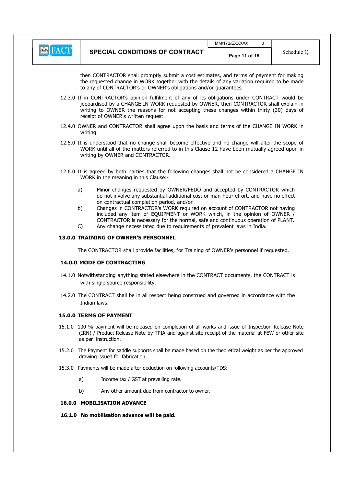

 $MM/172/FXXXX$   $\qquad$  0

then CONTRACTOR shall promptly submit a cost estimates, and terms of payment for making the requested change in WORK together with the details of any variation required to be made to any of CONTRACTOR's or OWNER's obligations and/or guarantees.

- 12.3.0 If in CONTRACTOR's opinion fulfilment of any of its obligations under CONTRACT would be jeopardised by a CHANGE IN WORK requested by OWNER, then CONTRACTOR shall explain in writing to OWNER the reasons for not accepting these changes within thirty (30) days of receipt of OWNER's written request.
- 12.4.0 OWNER and CONTRACTOR shall agree upon the basis and terms of the CHANGE IN WORK in writing.
- 12.5.0 It is understood that no change shall become effective and no change will alter the scope of WORK until all of the matters referred to in this Clause 12 have been mutually agreed upon in writing by OWNER and CONTRACTOR.
- 12.6.0 It is agreed by both parties that the following changes shall not be considered a CHANGE IN WORK in the meaning in this Clause:
	- a) Minor changes requested by OWNER/FEDO and accepted by CONTRACTOR which do not involve any substantial additional cost or man-hour effort, and have no effect on contractual completion period, and/or
	- b) Changes in CONTRACTOR's WORK required on account of CONTRACTOR not having included any item of EQUIPMENT or WORK which, in the opinion of OWNER CONTRACTOR is necessary for the normal, safe and continuous operation of PLANT.
	- C) Any change necessitated due to requirements of prevalent laws in India.

#### 13.0.0 TRAINING OF OWNER'S PERSONNEL

The CONTRACTOR shall provide facilities, for Training of OWNER's personnel if requested.

#### 14.0.0 MODE OF CONTRACTING

- 14.1.0 Notwithstanding anything stated elsewhere in the CONTRACT documents, the CONTRACT is with single source responsibility.
- 14.2.0 The CONTRACT shall be in all respect being construed and governed in accordance with the Indian laws.

#### 15.0.0 TERMS OF PAYMENT

- 15.1.0 100 % payment will be released on completion of all works and issue of Inspection Release Note (IRN) / Product Release Note by TPIA and against site receipt of the material at FEW or other site as per instruction.
- 15.2.0 The Payment for saddle supports shall be made based on the theoretical weight as per the approved drawing issued for fabrication.
- 15.3.0 Payments will be made after deduction on following accounts/TDS:
	- a) Income tax / GST at prevailing rate.
	- b) Any other amount due from contractor to owner.

#### 16.0.0 MOBILISATION ADVANCE

16.1.0 No mobilisation advance will be paid.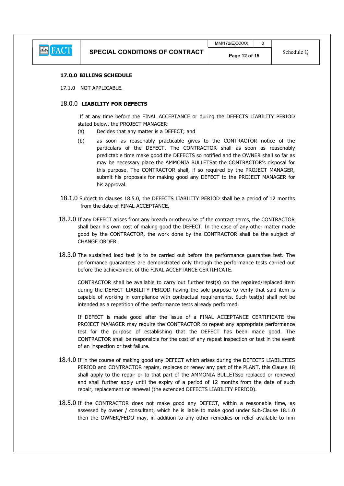

#### 17.0.0 BILLING SCHEDULE

17.1.0 NOT APPLICABLE.

#### 18.0.0 LIABILITY FOR DEFECTS

 If at any time before the FINAL ACCEPTANCE or during the DEFECTS LIABILITY PERIOD stated below, the PROJECT MANAGER:

- (a) Decides that any matter is a DEFECT; and
- (b) as soon as reasonably practicable gives to the CONTRACTOR notice of the particulars of the DEFECT. The CONTRACTOR shall as soon as reasonably predictable time make good the DEFECTS so notified and the OWNER shall so far as may be necessary place the AMMONIA BULLETSat the CONTRACTOR's disposal for this purpose. The CONTRACTOR shall, if so required by the PROJECT MANAGER, submit his proposals for making good any DEFECT to the PROJECT MANAGER for his approval.
- 18.1.0 Subject to clauses 18.5.0, the DEFECTS LIABILITY PERIOD shall be a period of 12 months from the date of FINAL ACCEPTANCE.
- 18.2.0 If any DEFECT arises from any breach or otherwise of the contract terms, the CONTRACTOR shall bear his own cost of making good the DEFECT. In the case of any other matter made good by the CONTRACTOR, the work done by the CONTRACTOR shall be the subject of CHANGE ORDER.
- 18.3.0 The sustained load test is to be carried out before the performance guarantee test. The performance guarantees are demonstrated only through the performance tests carried out before the achievement of the FINAL ACCEPTANCE CERTIFICATE.

CONTRACTOR shall be available to carry out further test(s) on the repaired/replaced item during the DEFECT LIABILITY PERIOD having the sole purpose to verify that said item is capable of working in compliance with contractual requirements. Such test(s) shall not be intended as a repetition of the performance tests already performed.

If DEFECT is made good after the issue of a FINAL ACCEPTANCE CERTIFICATE the PROJECT MANAGER may require the CONTRACTOR to repeat any appropriate performance test for the purpose of establishing that the DEFECT has been made good. The CONTRACTOR shall be responsible for the cost of any repeat inspection or test in the event of an inspection or test failure.

- 18.4.0 If in the course of making good any DEFECT which arises during the DEFECTS LIABILITIES PERIOD and CONTRACTOR repairs, replaces or renew any part of the PLANT, this Clause 18 shall apply to the repair or to that part of the AMMONIA BULLETSso replaced or renewed and shall further apply until the expiry of a period of 12 months from the date of such repair, replacement or renewal (the extended DEFECTS LIABILITY PERIOD).
- 18.5.0 If the CONTRACTOR does not make good any DEFECT, within a reasonable time, as assessed by owner / consultant, which he is liable to make good under Sub-Clause 18.1.0 then the OWNER/FEDO may, in addition to any other remedies or relief available to him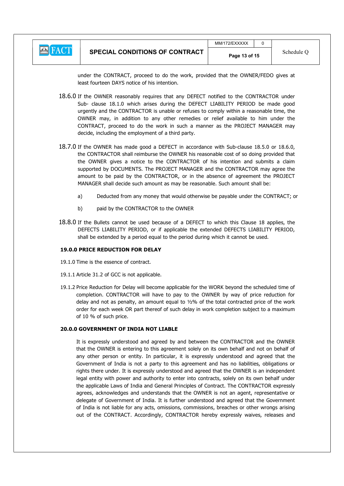### **E** FACT

under the CONTRACT, proceed to do the work, provided that the OWNER/FEDO gives at least fourteen DAYS notice of his intention.

- 18.6.0 If the OWNER reasonably requires that any DEFECT notified to the CONTRACTOR under Sub- clause 18.1.0 which arises during the DEFECT LIABILITY PERIOD be made good urgently and the CONTRACTOR is unable or refuses to comply within a reasonable time, the OWNER may, in addition to any other remedies or relief available to him under the CONTRACT, proceed to do the work in such a manner as the PROJECT MANAGER may decide, including the employment of a third party.
- 18.7.0 If the OWNER has made good a DEFECT in accordance with Sub-clause 18.5.0 or 18.6.0, the CONTRACTOR shall reimburse the OWNER his reasonable cost of so doing provided that the OWNER gives a notice to the CONTRACTOR of his intention and submits a claim supported by DOCUMENTS. The PROJECT MANAGER and the CONTRACTOR may agree the amount to be paid by the CONTRACTOR, or in the absence of agreement the PROJECT MANAGER shall decide such amount as may be reasonable. Such amount shall be:
	- a) Deducted from any money that would otherwise be payable under the CONTRACT; or
	- b) paid by the CONTRACTOR to the OWNER
- 18.8.0 If the Bullets cannot be used because of a DEFECT to which this Clause 18 applies, the DEFECTS LIABILITY PERIOD, or if applicable the extended DEFECTS LIABILITY PERIOD, shall be extended by a period equal to the period during which it cannot be used.

#### 19.0.0 PRICE REDUCTION FOR DELAY

- 19.1.0 Time is the essence of contract.
- 19.1.1 Article 31.2 of GCC is not applicable.
- 19.1.2 Price Reduction for Delay will become applicable for the WORK beyond the scheduled time of completion. CONTRACTOR will have to pay to the OWNER by way of price reduction for delay and not as penalty, an amount equal to  $1/2\%$  of the total contracted price of the work order for each week OR part thereof of such delay in work completion subject to a maximum of 10 % of such price.

#### 20.0.0 GOVERNMENT OF INDIA NOT LIABLE

 It is expressly understood and agreed by and between the CONTRACTOR and the OWNER that the OWNER is entering to this agreement solely on its own behalf and not on behalf of any other person or entity. In particular, it is expressly understood and agreed that the Government of India is not a party to this agreement and has no liabilities, obligations or rights there under. It is expressly understood and agreed that the OWNER is an independent legal entity with power and authority to enter into contracts, solely on its own behalf under the applicable Laws of India and General Principles of Contract. The CONTRACTOR expressly agrees, acknowledges and understands that the OWNER is not an agent, representative or delegate of Government of India. It is further understood and agreed that the Government of India is not liable for any acts, omissions, commissions, breaches or other wrongs arising out of the CONTRACT. Accordingly, CONTRACTOR hereby expressly waives, releases and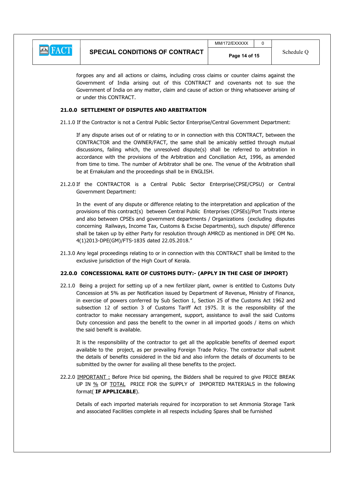

forgoes any and all actions or claims, including cross claims or counter claims against the Government of India arising out of this CONTRACT and covenants not to sue the Government of India on any matter, claim and cause of action or thing whatsoever arising of or under this CONTRACT.

#### 21.0.0 SETTLEMENT OF DISPUTES AND ARBITRATION

21.1.0 If the Contractor is not a Central Public Sector Enterprise/Central Government Department:

 If any dispute arises out of or relating to or in connection with this CONTRACT, between the CONTRACTOR and the OWNER/FACT, the same shall be amicably settled through mutual discussions, failing which, the unresolved dispute(s) shall be referred to arbitration in accordance with the provisions of the Arbitration and Conciliation Act, 1996, as amended from time to time. The number of Arbitrator shall be one. The venue of the Arbitration shall be at Ernakulam and the proceedings shall be in ENGLISH.

21.2.0 If the CONTRACTOR is a Central Public Sector Enterprise(CPSE/CPSU) or Central Government Department:

 In the event of any dispute or difference relating to the interpretation and application of the provisions of this contract(s) between Central Public Enterprises (CPSEs)/Port Trusts interse and also between CPSEs and government departments / Organizations (excluding disputes concerning Railways, Income Tax, Customs & Excise Departments), such dispute/ difference shall be taken up by either Party for resolution through AMRCD as mentioned in DPE OM No. 4(1)2013-DPE(GM)/FTS-1835 dated 22.05.2018."

21.3.0 Any legal proceedings relating to or in connection with this CONTRACT shall be limited to the exclusive jurisdiction of the High Court of Kerala.

#### 22.0.0 CONCESSIONAL RATE OF CUSTOMS DUTY:- (APPLY IN THE CASE OF IMPORT)

22.1.0 Being a project for setting up of a new fertilizer plant, owner is entitled to Customs Duty Concession at 5% as per Notification issued by Department of Revenue, Ministry of Finance, in exercise of powers conferred by Sub Section 1, Section 25 of the Customs Act 1962 and subsection 12 of section 3 of Customs Tariff Act 1975. It is the responsibility of the contractor to make necessary arrangement, support, assistance to avail the said Customs Duty concession and pass the benefit to the owner in all imported goods / items on which the said benefit is available.

 It is the responsibility of the contractor to get all the applicable benefits of deemed export available to the project, as per prevailing Foreign Trade Policy. The contractor shall submit the details of benefits considered in the bid and also inform the details of documents to be submitted by the owner for availing all these benefits to the project.

22.2.0 IMPORTANT : Before Price bid opening, the Bidders shall be required to give PRICE BREAK UP IN % OF TOTAL PRICE FOR the SUPPLY of IMPORTED MATERIALS in the following format( IF APPLICABLE).

 Details of each imported materials required for incorporation to set Ammonia Storage Tank and associated Facilities complete in all respects including Spares shall be furnished